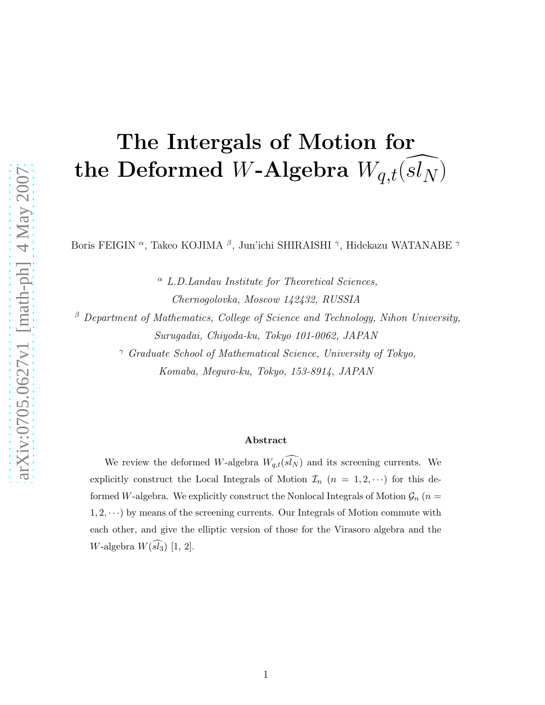# The Intergals of Motion for the Deformed W-Algebra  $W_{q,t}(sl_{N})$

Boris FEIGIN <sup>α</sup>, Takeo KOJIMA <sup>β</sup>, Jun'ichi SHIRAISHI <sup>γ</sup>, Hidekazu WATANABE <sup>γ</sup>

 $\alpha$  L.D. Landau Institute for Theoretical Sciences, Chernogolovka, Moscow 142432, RUSSIA

 $\beta$  Department of Mathematics, College of Science and Technology, Nihon University, Surugadai, Chiyoda-ku, Tokyo 101-0062, JAPAN

> <sup>γ</sup> Graduate School of Mathematical Science, University of Tokyo, Komaba, Meguro-ku, Tokyo, 153-8914, JAPAN

#### Abstract

We review the deformed W-algebra  $W_{q,t}(\widehat{sl_N})$  and its screening currents. We explicitly construct the Local Integrals of Motion  $\mathcal{I}_n$   $(n = 1, 2, \cdots)$  for this deformed W-algebra. We explicitly construct the Nonlocal Integrals of Motion  $\mathcal{G}_n$  (n =  $1, 2, \dots$ ) by means of the screening currents. Our Integrals of Motion commute with each other, and give the elliptic version of those for the Virasoro algebra and the W-algebra  $W(\widehat{sl_3})$  [1, 2].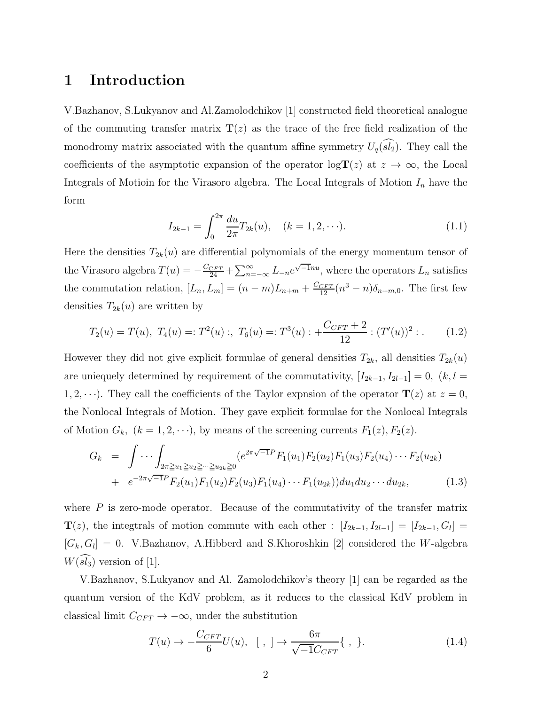### 1 Introduction

V.Bazhanov, S.Lukyanov and Al.Zamolodchikov [1] constructed field theoretical analogue of the commuting transfer matrix  $\mathbf{T}(z)$  as the trace of the free field realization of the monodromy matrix associated with the quantum affine symmetry  $U_q(\widehat{sl_2})$ . They call the coefficients of the asymptotic expansion of the operator  $\log T(z)$  at  $z \to \infty$ , the Local Integrals of Motioin for the Virasoro algebra. The Local Integrals of Motion  $I_n$  have the form

$$
I_{2k-1} = \int_0^{2\pi} \frac{du}{2\pi} T_{2k}(u), \quad (k = 1, 2, \cdots). \tag{1.1}
$$

Here the densities  $T_{2k}(u)$  are differential polynomials of the energy momentum tensor of the Virasoro algebra  $T(u) = -\frac{C_{CFT}}{24} + \sum_{n=-\infty}^{\infty} L_{-n} e^{\sqrt{-1}nu}$ , where the operators  $L_n$  satisfies the commutation relation,  $[L_n, L_m] = (n-m)L_{n+m} + \frac{C_{CFT}}{12}(n^3 - n)\delta_{n+m,0}$ . The first few densities  $T_{2k}(u)$  are written by

$$
T_2(u) = T(u), \ T_4(u) =: T^2(u) \ ; \ T_6(u) =: T^3(u) : + \frac{C_{CFT} + 2}{12} : (T'(u))^2 : . \tag{1.2}
$$

However they did not give explicit formulae of general densities  $T_{2k}$ , all densities  $T_{2k}(u)$ are uniequely determined by requirement of the commutativity,  $[I_{2k-1}, I_{2l-1}] = 0$ ,  $(k, l =$ 1, 2,  $\cdots$ ). They call the coefficients of the Taylor expnsion of the operator  $\mathbf{T}(z)$  at  $z = 0$ , the Nonlocal Integrals of Motion. They gave explicit formulae for the Nonlocal Integrals of Motion  $G_k$ ,  $(k = 1, 2, \dots)$ , by means of the screening currents  $F_1(z)$ ,  $F_2(z)$ .

$$
G_k = \int \cdots \int_{2\pi \ge u_1 \ge u_2 \ge \cdots \ge u_{2k}} (e^{2\pi \sqrt{-1}P} F_1(u_1) F_2(u_2) F_1(u_3) F_2(u_4) \cdots F_2(u_{2k}) + e^{-2\pi \sqrt{-1}P} F_2(u_1) F_1(u_2) F_2(u_3) F_1(u_4) \cdots F_1(u_{2k}) du_1 du_2 \cdots du_{2k},
$$
\n(1.3)

where  $P$  is zero-mode operator. Because of the commutativity of the transfer matrix  $\mathbf{T}(z)$ , the integtrals of motion commute with each other :  $[I_{2k-1}, I_{2l-1}] = [I_{2k-1}, G_l] =$  $[G_k, G_l] = 0$ . V.Bazhanov, A.Hibberd and S.Khoroshkin [2] considered the W-algebra  $W(\widehat{sl_3})$  version of [1].

V.Bazhanov, S.Lukyanov and Al. Zamolodchikov's theory [1] can be regarded as the quantum version of the KdV problem, as it reduces to the classical KdV problem in classical limit  $C_{CFT} \rightarrow -\infty$ , under the substitution

$$
T(u) \to -\frac{C_{CFT}}{6}U(u), \quad [ \ , \ ] \to \frac{6\pi}{\sqrt{-1}C_{CFT}} \{ \ , \ \}. \tag{1.4}
$$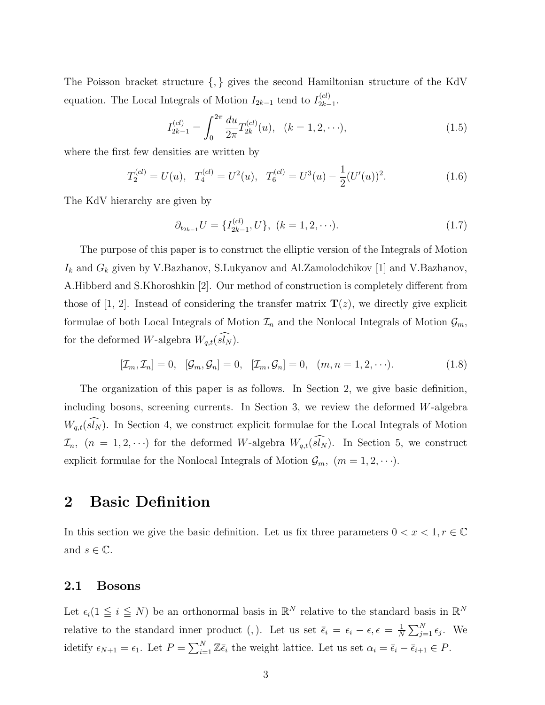The Poisson bracket structure {, } gives the second Hamiltonian structure of the KdV equation. The Local Integrals of Motion  $I_{2k-1}$  tend to  $I_{2k-1}^{(cl)}$  $\frac{(ct)}{2k-1}$ 

$$
I_{2k-1}^{(cl)} = \int_0^{2\pi} \frac{du}{2\pi} T_{2k}^{(cl)}(u), \quad (k = 1, 2, \cdots), \tag{1.5}
$$

where the first few densities are written by

$$
T_2^{(cl)} = U(u), \quad T_4^{(cl)} = U^2(u), \quad T_6^{(cl)} = U^3(u) - \frac{1}{2}(U'(u))^2.
$$
 (1.6)

The KdV hierarchy are given by

$$
\partial_{t_{2k-1}} U = \{ I_{2k-1}^{(cl)}, U \}, \ (k = 1, 2, \cdots). \tag{1.7}
$$

The purpose of this paper is to construct the elliptic version of the Integrals of Motion  $I_k$  and  $G_k$  given by V.Bazhanov, S.Lukyanov and Al.Zamolodchikov [1] and V.Bazhanov, A.Hibberd and S.Khoroshkin [2]. Our method of construction is completely different from those of [1, 2]. Instead of considering the transfer matrix  $\mathbf{T}(z)$ , we directly give explicit formulae of both Local Integrals of Motion  $\mathcal{I}_n$  and the Nonlocal Integrals of Motion  $\mathcal{G}_m$ , for the deformed W-algebra  $W_{q,t}(\widehat{sl_N})$ .

$$
[\mathcal{I}_m, \mathcal{I}_n] = 0, \quad [\mathcal{G}_m, \mathcal{G}_n] = 0, \quad [\mathcal{I}_m, \mathcal{G}_n] = 0, \quad (m, n = 1, 2, \cdots). \tag{1.8}
$$

The organization of this paper is as follows. In Section 2, we give basic definition, including bosons, screening currents. In Section 3, we review the deformed  $W$ -algebra  $W_{q,t}(sl_N)$ . In Section 4, we construct explicit formulae for the Local Integrals of Motion  $\mathcal{I}_n$ ,  $(n = 1, 2, \cdots)$  for the deformed W-algebra  $W_{q,t}(\widehat{sN})$ . In Section 5, we construct explicit formulae for the Nonlocal Integrals of Motion  $\mathcal{G}_m$ ,  $(m = 1, 2, \cdots)$ .

## 2 Basic Definition

In this section we give the basic definition. Let us fix three parameters  $0 < x < 1, r \in \mathbb{C}$ and  $s \in \mathbb{C}$ .

### 2.1 Bosons

Let  $\epsilon_i(1 \leq i \leq N)$  be an orthonormal basis in  $\mathbb{R}^N$  relative to the standard basis in  $\mathbb{R}^N$ relative to the standard inner product (,). Let us set  $\bar{\epsilon}_i = \epsilon_i - \epsilon, \epsilon = \frac{1}{N}$  $\frac{1}{N} \sum_{j=1}^{N} \epsilon_j$ . We idetify  $\epsilon_{N+1} = \epsilon_1$ . Let  $P = \sum_{i=1}^{N} \mathbb{Z}\bar{\epsilon}_i$  the weight lattice. Let us set  $\alpha_i = \bar{\epsilon}_i - \bar{\epsilon}_{i+1} \in P$ .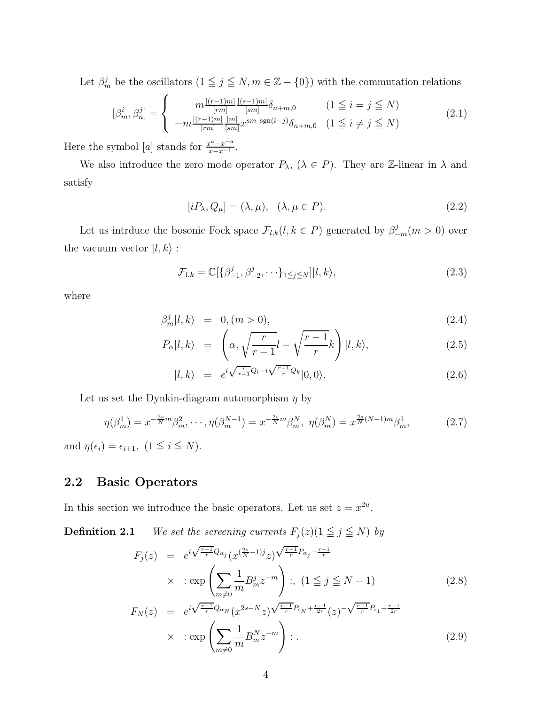Let  $\beta_m^j$  be the oscillators  $(1 \leq j \leq N, m \in \mathbb{Z} - \{0\})$  with the commutation relations

$$
[\beta_m^i, \beta_n^j] = \begin{cases} m \frac{[(r-1)m]}{[rm]} \frac{[(s-1)m]}{[sm]} \delta_{n+m,0} & (1 \le i = j \le N) \\ -m \frac{[(r-1)m]}{[rm]} \frac{[m]}{[sm]} x^{sm} \operatorname{sgn}(i-j) \delta_{n+m,0} & (1 \le i \ne j \le N) \end{cases}
$$
(2.1)

Here the symbol [a] stands for  $\frac{x^a - x^{-a}}{x - x^{-1}}$ .

We also introduce the zero mode operator  $P_{\lambda}$ ,  $(\lambda \in P)$ . They are Z-linear in  $\lambda$  and satisfy

$$
[iP_{\lambda}, Q_{\mu}] = (\lambda, \mu), \quad (\lambda, \mu \in P). \tag{2.2}
$$

Let us intrduce the bosonic Fock space  $\mathcal{F}_{l,k}(l,k \in P)$  generated by  $\beta_{-m}^j(m > 0)$  over the vacuum vector  $|l, k\rangle$  :

$$
\mathcal{F}_{l,k} = \mathbb{C}[\{\beta_{-1}^j, \beta_{-2}^j, \cdots\}_{1 \leq j \leq N}] |l, k\rangle,
$$
\n(2.3)

where

$$
\beta_m^j |l, k\rangle = 0, (m > 0), \tag{2.4}
$$

$$
P_{\alpha}|l,k\rangle = \left(\alpha, \sqrt{\frac{r}{r-1}}l - \sqrt{\frac{r-1}{r}}k\right)|l,k\rangle, \tag{2.5}
$$

$$
|l,k\rangle = e^{i\sqrt{\frac{r}{r-1}Q_l} - i\sqrt{\frac{r-1}{r}Q_k}}|0,0\rangle.
$$
 (2.6)

Let us set the Dynkin-diagram automorphism  $\eta$  by

$$
\eta(\beta_m^1) = x^{-\frac{2s}{N}m} \beta_m^2, \cdots, \eta(\beta_m^{N-1}) = x^{-\frac{2s}{N}m} \beta_m^N, \ \eta(\beta_m^N) = x^{\frac{2s}{N}(N-1)m} \beta_m^1,\tag{2.7}
$$

and  $\eta(\epsilon_i) = \epsilon_{i+1}, (1 \leq i \leq N)$ .

### 2.2 Basic Operators

In this section we introduce the basic operators. Let us set  $z = x^{2u}$ .

**Definition 2.1** We set the screening currents  $F_j(z)(1 \leq j \leq N)$  by

$$
F_j(z) = e^{i\sqrt{\frac{r-1}{r}}Q_{\alpha_j}}(x^{(\frac{2s}{N}-1)j}z)^{\sqrt{\frac{r-1}{r}}P_{\alpha_j} + \frac{r-1}{r}}
$$
  
 
$$
\times : \exp\left(\sum_{m \neq 0} \frac{1}{m} B_m^j z^{-m}\right) : , (1 \leq j \leq N-1)
$$
  
\n
$$
F_N(z) = e^{i\sqrt{\frac{r-1}{r}}Q_{\alpha_N}}(x^{2s-N}z)^{\sqrt{\frac{r-1}{r}}P_{\bar{\epsilon}_N} + \frac{r-1}{2r}}(z)^{-\sqrt{\frac{r-1}{r}}P_{\bar{\epsilon}_1} + \frac{r-1}{2r}}
$$
\n
$$
(-1)^{\frac{N}{N}}
$$
\n
$$
(2.8)
$$

$$
\times \quad : \exp\left(\sum_{m \neq 0} \frac{1}{m} B_m^N z^{-m}\right) : . \tag{2.9}
$$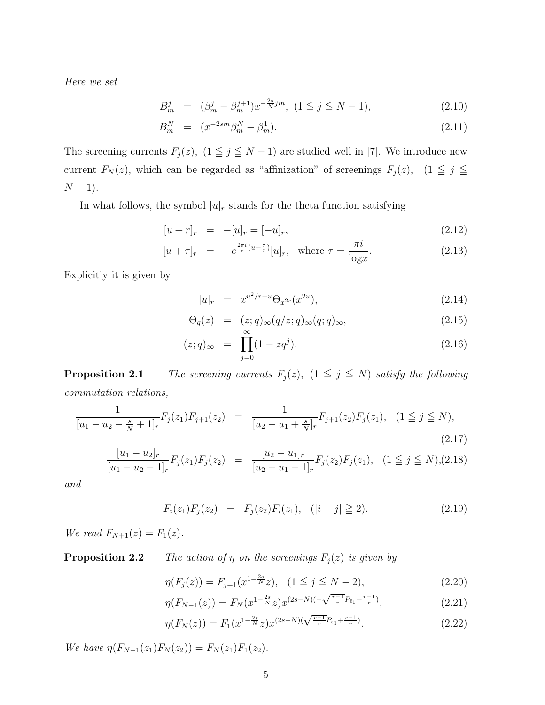Here we set

$$
B_m^j = (\beta_m^j - \beta_m^{j+1}) x^{-\frac{2s}{N}jm}, \ (1 \le j \le N - 1), \tag{2.10}
$$

$$
B_m^N = (x^{-2sm}\beta_m^N - \beta_m^1). \tag{2.11}
$$

The screening currents  $F_j(z)$ ,  $(1 \leq j \leq N-1)$  are studied well in [7]. We introduce new current  $F_N(z)$ , which can be regarded as "affinization" of screenings  $F_j(z)$ ,  $(1 \leq j \leq n)$  $N - 1$ ).

In what follows, the symbol  $[u]_r$  stands for the theta function satisfying

$$
[u+r]_r = -[u]_r = [-u]_r,\tag{2.12}
$$

$$
[u+\tau]_r = -e^{\frac{2\pi i}{r}(u+\frac{\tau}{2})}[u]_r, \text{ where } \tau = \frac{\pi i}{\log x}.
$$
 (2.13)

Explicitly it is given by

$$
[u]_r = x^{u^2/r-u} \Theta_{x^{2r}}(x^{2u}), \tag{2.14}
$$

$$
\Theta_q(z) = (z;q)_{\infty}(q/z;q)_{\infty}(q;q)_{\infty}, \qquad (2.15)
$$

$$
(z;q)_{\infty} = \prod_{j=0}^{\infty} (1 - zq^{j}).
$$
\n(2.16)

**Proposition 2.1** The screening currents  $F_j(z)$ ,  $(1 \leq j \leq N)$  satisfy the following commutation relations,

$$
\frac{1}{[u_1 - u_2 - \frac{s}{N} + 1]_r} F_j(z_1) F_{j+1}(z_2) = \frac{1}{[u_2 - u_1 + \frac{s}{N}]_r} F_{j+1}(z_2) F_j(z_1), \quad (1 \le j \le N),
$$
\n(2.17)

$$
\frac{[u_1 - u_2]_r}{[u_1 - u_2 - 1]_r} F_j(z_1) F_j(z_2) = \frac{[u_2 - u_1]_r}{[u_2 - u_1 - 1]_r} F_j(z_2) F_j(z_1), \quad (1 \le j \le N), (2.18)
$$

and

$$
F_i(z_1)F_j(z_2) = F_j(z_2)F_i(z_1), \quad (|i - j| \ge 2). \tag{2.19}
$$

We read  $F_{N+1}(z) = F_1(z)$ .

**Proposition 2.2** The action of  $\eta$  on the screenings  $F_j(z)$  is given by

$$
\eta(F_j(z)) = F_{j+1}(x^{1-\frac{2s}{N}}z), \quad (1 \le j \le N-2), \tag{2.20}
$$

$$
\eta(F_{N-1}(z)) = F_N(x^{1-\frac{2s}{N}}z)x^{(2s-N)(-\sqrt{\frac{r-1}{r}}P_{\epsilon_1} + \frac{r-1}{r})},\tag{2.21}
$$

$$
\eta(F_N(z)) = F_1(x^{1 - \frac{2s}{N}} z) x^{(2s - N)(\sqrt{\frac{r-1}{r}} P_{\epsilon_1} + \frac{r-1}{r})}.
$$
\n(2.22)

We have  $\eta(F_{N-1}(z_1)F_N(z_2)) = F_N(z_1)F_1(z_2)$ .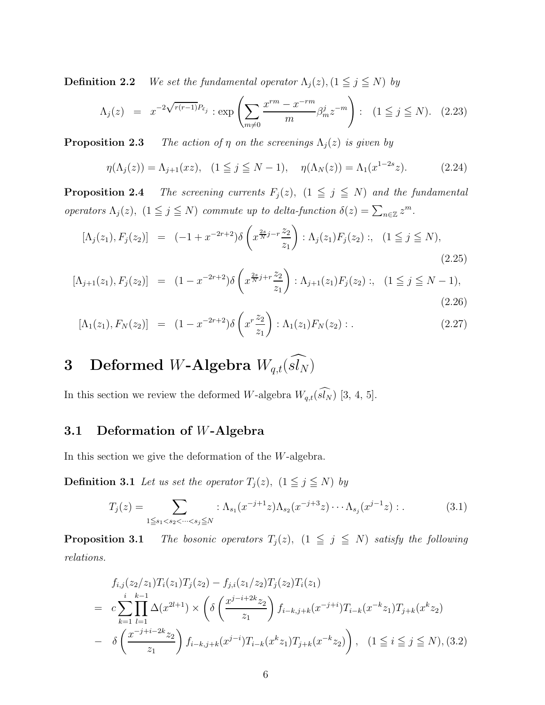**Definition 2.2** We set the fundamental operator  $\Lambda_j(z)$ ,  $(1 \leq j \leq N)$  by

$$
\Lambda_j(z) = x^{-2\sqrt{r(r-1)}P_{\bar{\epsilon}_j}} : \exp\left(\sum_{m \neq 0} \frac{x^{rm} - x^{-rm}}{m} \beta_m^j z^{-m}\right) : (1 \leq j \leq N). \tag{2.23}
$$

**Proposition 2.3** The action of  $\eta$  on the screenings  $\Lambda_j(z)$  is given by

$$
\eta(\Lambda_j(z)) = \Lambda_{j+1}(xz), \quad (1 \le j \le N-1), \quad \eta(\Lambda_N(z)) = \Lambda_1(x^{1-2s}z). \tag{2.24}
$$

**Proposition 2.4** The screening currents  $F_j(z)$ ,  $(1 \leq j \leq N)$  and the fundamental operators  $\Lambda_j(z)$ ,  $(1 \leq j \leq N)$  commute up to delta-function  $\delta(z) = \sum_{n \in \mathbb{Z}} z^m$ .

$$
[\Lambda_j(z_1), F_j(z_2)] = (-1 + x^{-2r+2}) \delta\left(x^{\frac{2s}{N}j - r\frac{z_2}{z_1}}\right) : \Lambda_j(z_1) F_j(z_2) : , \quad (1 \le j \le N),
$$
\n(2.25)

$$
[\Lambda_{j+1}(z_1), F_j(z_2)] = (1 - x^{-2r+2})\delta\left(x^{\frac{2s}{N}j+r\frac{z_2}{z_1}}\right) : \Lambda_{j+1}(z_1)F_j(z_2) : , \quad (1 \le j \le N-1),
$$
\n(2.26)

$$
[\Lambda_1(z_1), F_N(z_2)] = (1 - x^{-2r+2}) \delta\left(x^r \frac{z_2}{z_1}\right) : \Lambda_1(z_1) F_N(z_2) : .
$$
 (2.27)

# 3 Deformed W-Algebra  $W_{q,t}(\widehat{sl_N})$

In this section we review the deformed W-algebra  $W_{q,t}(\widehat{sN})$  [3, 4, 5].

### 3.1 Deformation of W-Algebra

In this section we give the deformation of the W-algebra.

**Definition 3.1** Let us set the operator  $T_j(z)$ ,  $(1 \leq j \leq N)$  by

$$
T_j(z) = \sum_{1 \le s_1 < s_2 < \dots < s_j \le N} : \Lambda_{s_1}(x^{-j+1}z)\Lambda_{s_2}(x^{-j+3}z)\cdots\Lambda_{s_j}(x^{j-1}z) : . \tag{3.1}
$$

**Proposition 3.1** The bosonic operators  $T_j(z)$ ,  $(1 \leq j \leq N)$  satisfy the following relations.

$$
f_{i,j}(z_2/z_1)T_i(z_1)T_j(z_2) - f_{j,i}(z_1/z_2)T_j(z_2)T_i(z_1)
$$
  
= 
$$
c \sum_{k=1}^i \prod_{l=1}^{k-1} \Delta(x^{2l+1}) \times \left( \delta \left( \frac{x^{j-i+2k}z_2}{z_1} \right) f_{i-k,j+k}(x^{-j+i})T_{i-k}(x^{-k}z_1)T_{j+k}(x^k z_2) \right)
$$
  
- 
$$
\delta \left( \frac{x^{-j+i-2k}z_2}{z_1} \right) f_{i-k,j+k}(x^{j-i})T_{i-k}(x^k z_1)T_{j+k}(x^{-k} z_2) \right), \quad (1 \le i \le j \le N), (3.2)
$$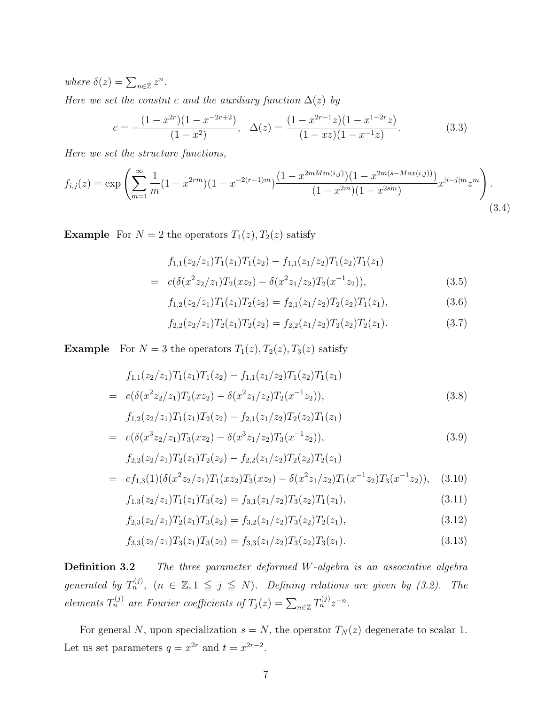where  $\delta(z) = \sum_{n \in \mathbb{Z}} z^n$ .

Here we set the constnt c and the auxiliary function  $\Delta(z)$  by

$$
c = -\frac{(1 - x^{2r})(1 - x^{-2r+2})}{(1 - x^2)}, \quad \Delta(z) = \frac{(1 - x^{2r-1}z)(1 - x^{1-2r}z)}{(1 - xz)(1 - x^{-1}z)}.
$$
(3.3)

Here we set the structure functions,

$$
f_{i,j}(z) = \exp\left(\sum_{m=1}^{\infty} \frac{1}{m} (1 - x^{2rm})(1 - x^{-2(r-1)m}) \frac{(1 - x^{2mMin(i,j)})(1 - x^{2m(s - Max(i,j))})}{(1 - x^{2m})(1 - x^{2sm})} x^{|i - j|m} z^m\right).
$$
\n(3.4)

**Example** For  $N = 2$  the operators  $T_1(z)$ ,  $T_2(z)$  satisfy

$$
f_{1,1}(z_2/z_1)T_1(z_1)T_1(z_2) - f_{1,1}(z_1/z_2)T_1(z_2)T_1(z_1)
$$
  
=  $c(\delta(x^2z_2/z_1)T_2(xz_2) - \delta(x^2z_1/z_2)T_2(x^{-1}z_2)),$  (3.5)

$$
f_{1,2}(z_2/z_1)T_1(z_1)T_2(z_2) = f_{2,1}(z_1/z_2)T_2(z_2)T_1(z_1),
$$
\n(3.6)

$$
f_{2,2}(z_2/z_1)T_2(z_1)T_2(z_2) = f_{2,2}(z_1/z_2)T_2(z_2)T_2(z_1).
$$
\n(3.7)

**Example** For  $N = 3$  the operators  $T_1(z)$ ,  $T_2(z)$ ,  $T_3(z)$  satisfy

$$
f_{1,1}(z_2/z_1)T_1(z_1)T_1(z_2) - f_{1,1}(z_1/z_2)T_1(z_2)T_1(z_1)
$$
  
=  $c(\delta(x^2z_2/z_1)T_2(xz_2) - \delta(x^2z_1/z_2)T_2(x^{-1}z_2)),$   
 $f_{1,2}(z_2/z_1)T_1(z_1)T_2(z_2) - f_{2,1}(z_1/z_2)T_2(z_2)T_1(z_1)$  (3.8)

$$
= c(\delta(x^3z_2/z_1)T_3(xz_2) - \delta(x^3z_1/z_2)T_3(x^{-1}z_2)), \qquad (3.9)
$$

$$
f_{2,2}(z_2/z_1)T_2(z_1)T_2(z_2) - f_{2,2}(z_1/z_2)T_2(z_2)T_2(z_1)
$$
  
= 
$$
cf_{1,3}(1)(\delta(x^2z_2/z_1)T_1(xz_2)T_3(xz_2) - \delta(x^2z_1/z_2)T_1(x^{-1}z_2)T_3(x^{-1}z_2)),
$$
 (3.10)

$$
f_{1,3}(z_2/z_1)T_1(z_1)T_3(z_2) = f_{3,1}(z_1/z_2)T_3(z_2)T_1(z_1),
$$
\n(3.11)

$$
f_{2,3}(z_2/z_1)T_2(z_1)T_3(z_2) = f_{3,2}(z_1/z_2)T_3(z_2)T_2(z_1),
$$
\n(3.12)

$$
f_{3,3}(z_2/z_1)T_3(z_1)T_3(z_2) = f_{3,3}(z_1/z_2)T_3(z_2)T_3(z_1).
$$
\n(3.13)

Definition 3.2 The three parameter deformed W-algebra is an associative algebra generated by  $T_n^{(j)}$ ,  $(n \in \mathbb{Z}, 1 \leq j \leq N)$ . Defining relations are given by (3.2). The elements  $T_n^{(j)}$  are Fourier coefficients of  $T_j(z) = \sum_{n \in \mathbb{Z}} T_n^{(j)} z^{-n}$ .

For general N, upon specialization  $s = N$ , the operator  $T_N(z)$  degenerate to scalar 1. Let us set parameters  $q = x^{2r}$  and  $t = x^{2r-2}$ .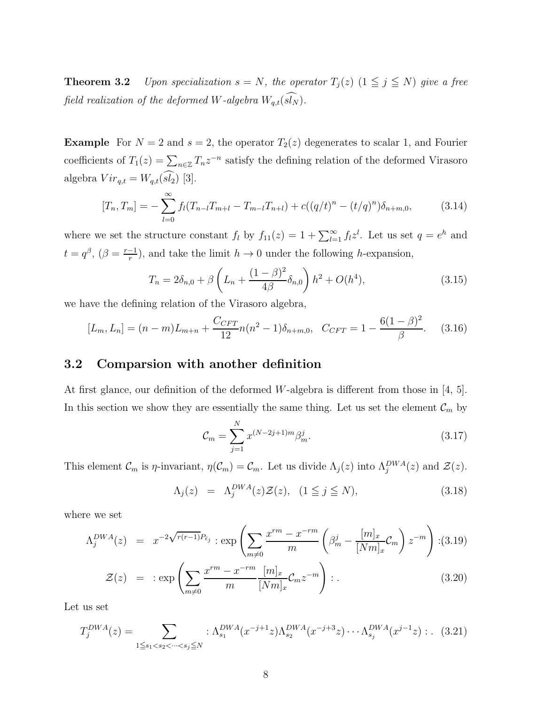**Theorem 3.2** Upon specialization  $s = N$ , the operator  $T_j(z)$   $(1 \leq j \leq N)$  give a free field realization of the deformed W-algebra  $W_{q,t}(\widehat{sl_N})$ .

**Example** For  $N = 2$  and  $s = 2$ , the operator  $T_2(z)$  degenerates to scalar 1, and Fourier coefficients of  $T_1(z) = \sum_{n \in \mathbb{Z}} T_n z^{-n}$  satisfy the defining relation of the deformed Virasoro algebra  $Vir_{q,t} = W_{q,t}(\widehat{sl_2})$  [3].

$$
[T_n, T_m] = -\sum_{l=0}^{\infty} f_l (T_{n-l} T_{m+l} - T_{m-l} T_{n+l}) + c((q/t)^n - (t/q)^n) \delta_{n+m,0},
$$
(3.14)

where we set the structure constant  $f_l$  by  $f_{11}(z) = 1 + \sum_{l=1}^{\infty} f_l z^l$ . Let us set  $q = e^h$  and  $t = q^{\beta}$ ,  $(\beta = \frac{r-1}{r})$ , and take the limit  $h \to 0$  under the following h-expansion,

$$
T_n = 2\delta_{n,0} + \beta \left( L_n + \frac{(1-\beta)^2}{4\beta} \delta_{n,0} \right) h^2 + O(h^4), \tag{3.15}
$$

we have the defining relation of the Virasoro algebra,

$$
[L_m, L_n] = (n - m)L_{m+n} + \frac{C_{CFT}}{12}n(n^2 - 1)\delta_{n+m,0}, \quad C_{CFT} = 1 - \frac{6(1 - \beta)^2}{\beta}.
$$
 (3.16)

### 3.2 Comparsion with another definition

At first glance, our definition of the deformed W-algebra is different from those in  $[4, 5]$ . In this section we show they are essentially the same thing. Let us set the element  $\mathcal{C}_m$  by

$$
\mathcal{C}_m = \sum_{j=1}^N x^{(N-2j+1)m} \beta_m^j.
$$
\n(3.17)

This element  $\mathcal{C}_m$  is  $\eta$ -invariant,  $\eta(\mathcal{C}_m) = \mathcal{C}_m$ . Let us divide  $\Lambda_j(z)$  into  $\Lambda_j^{DWA}(z)$  and  $\mathcal{Z}(z)$ .

$$
\Lambda_j(z) = \Lambda_j^{DWA}(z) \mathcal{Z}(z), \quad (1 \leq j \leq N), \tag{3.18}
$$

where we set

$$
\Lambda_j^{DWA}(z) = x^{-2\sqrt{r(r-1)}P_{\epsilon_j}} : \exp\left(\sum_{m\neq 0} \frac{x^{rm} - x^{-rm}}{m} \left(\beta_m^j - \frac{[m]_x}{[Nm]_x} C_m\right) z^{-m}\right) : (3.19)
$$
  

$$
\mathcal{Z}(z) = : \exp\left(\sum_{m\neq 0} \frac{x^{rm} - x^{-rm}}{m} \frac{[m]_x}{[Nm]_x} C_m z^{-m}\right) : . \tag{3.20}
$$

Let us set

$$
T_j^{DWA}(z) = \sum_{1 \le s_1 < s_2 < \dots < s_j \le N} : \Lambda_{s_1}^{DWA}(x^{-j+1}z) \Lambda_{s_2}^{DWA}(x^{-j+3}z) \cdots \Lambda_{s_j}^{DWA}(x^{j-1}z) : . \tag{3.21}
$$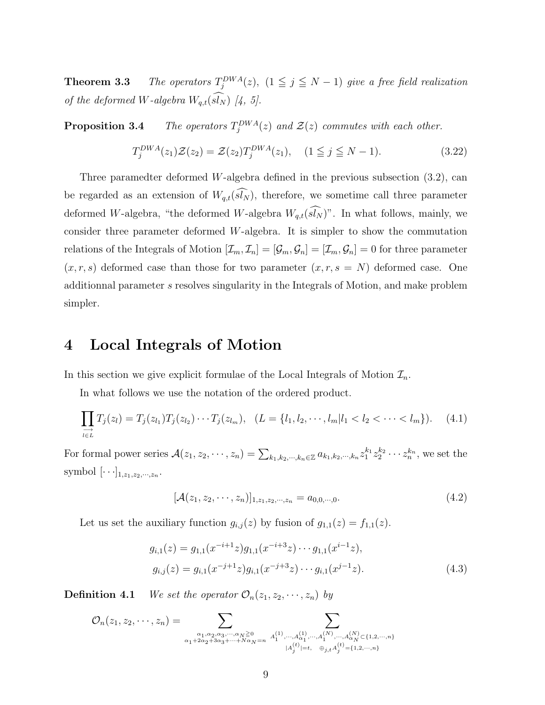**Theorem 3.3** The operators  $T_j^{DWA}(z)$ ,  $(1 \leq j \leq N-1)$  give a free field realization of the deformed W-algebra  $W_{q,t}(\widehat{sl}_N)$  [4, 5].

Proposition 3.4  $E_j^{DWA}(z)$  and  $\mathcal{Z}(z)$  commutes with each other.

$$
T_j^{DWA}(z_1)\mathcal{Z}(z_2) = \mathcal{Z}(z_2)T_j^{DWA}(z_1), \quad (1 \le j \le N-1).
$$
 (3.22)

Three paramedter deformed W-algebra defined in the previous subsection (3.2), can be regarded as an extension of  $W_{q,t}(\widehat{sl_N})$ , therefore, we sometime call three parameter deformed W-algebra, "the deformed W-algebra  $W_{q,t}(\widehat{sl_N})$ ". In what follows, mainly, we consider three parameter deformed W-algebra. It is simpler to show the commutation relations of the Integrals of Motion  $[\mathcal{I}_m, \mathcal{I}_n] = [\mathcal{G}_m, \mathcal{G}_n] = [\mathcal{I}_m, \mathcal{G}_n] = 0$  for three parameter  $(x, r, s)$  deformed case than those for two parameter  $(x, r, s = N)$  deformed case. One additionnal parameter s resolves singularity in the Integrals of Motion, and make problem simpler.

### 4 Local Integrals of Motion

In this section we give explicit formulae of the Local Integrals of Motion  $\mathcal{I}_n$ .

In what follows we use the notation of the ordered product.

$$
\prod_{l \in L} T_j(z_l) = T_j(z_{l_1}) T_j(z_{l_2}) \cdots T_j(z_{l_m}), \quad (L = \{l_1, l_2, \cdots, l_m | l_1 < l_2 < \cdots < l_m\}). \tag{4.1}
$$

For formal power series  $\mathcal{A}(z_1, z_2, \dots, z_n) = \sum_{k_1, k_2, \dots, k_n \in \mathbb{Z}} a_{k_1, k_2, \dots, k_n} z_1^{k_1} z_2^{k_2} \dots z_n^{k_n}$ , we set the symbol  $[\cdots]_{1,z_1,z_2,\cdots,z_n}$ .

$$
[\mathcal{A}(z_1, z_2, \cdots, z_n)]_{1, z_1, z_2, \cdots, z_n} = a_{0,0,\cdots,0}.
$$
\n(4.2)

Let us set the auxiliary function  $g_{i,j}(z)$  by fusion of  $g_{1,1}(z) = f_{1,1}(z)$ .

$$
g_{i,1}(z) = g_{1,1}(x^{-i+1}z)g_{1,1}(x^{-i+3}z)\cdots g_{1,1}(x^{i-1}z),
$$
  
\n
$$
g_{i,j}(z) = g_{i,1}(x^{-j+1}z)g_{i,1}(x^{-j+3}z)\cdots g_{i,1}(x^{j-1}z).
$$
\n(4.3)

**Definition 4.1** We set the operator  $\mathcal{O}_n(z_1, z_2, \dots, z_n)$  by

$$
\mathcal{O}_n(z_1, z_2, \cdots, z_n) = \sum_{\substack{\alpha_1, \alpha_2, \alpha_3, \cdots, \alpha_N \ge 0 \\ \alpha_1 + 2\alpha_2 + 3\alpha_3 + \cdots + N\alpha_N = n}} \sum_{\substack{A_1^{(1)}, \cdots, A_{\alpha_1}^{(1)}, \cdots, A_1^{(N)}, \cdots, A_N^{(N)} \subset \{1, 2, \cdots, n\} \\ |A_j^{(t)}| = t, \quad \oplus_{j,t} A_j^{(t)} = \{1, 2, \cdots, n\}}}
$$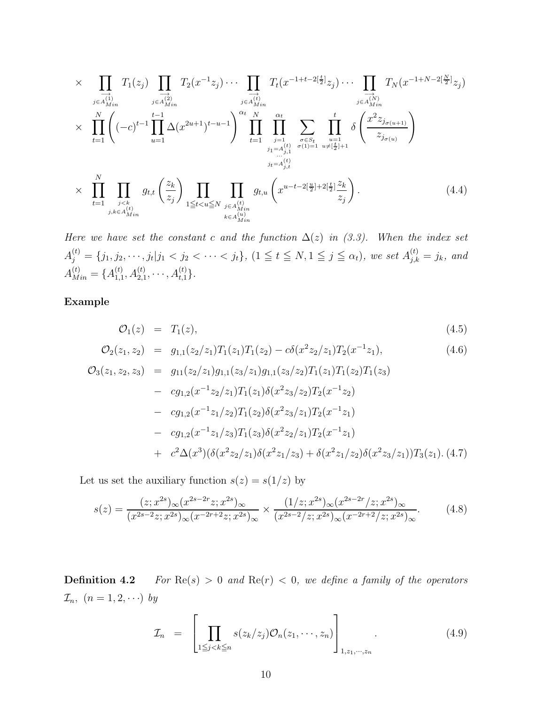$$
\times \prod_{\substack{j \in A_{Min}^{(1)} \\ j \in A_{Min}^{(2)}}} T_1(z_j) \prod_{\substack{j \in A_{Min}^{(2)} \\ j \in A_{Min}^{(2)}}} T_2(x^{-1}z_j) \cdots \prod_{\substack{j \in A_{Min}^{(t)} \\ j \in A_{Min}^{(t)}}} T_t(x^{-1+t-2[\frac{t}{2}]}z_j) \cdots \prod_{\substack{j \in A_{Min}^{(N)} \\ j \in A_{Min}^{(N)}}} T_N(x^{-1+N-2[\frac{N}{2}]}z_j)
$$
\n
$$
\times \prod_{t=1}^N \left( (-c)^{t-1} \prod_{u=1}^{t-1} \Delta(x^{2u+1})^{t-u-1} \right) \prod_{t=1}^{\alpha_t} \prod_{\substack{j=1 \\ j \in A_{j,1}^{(t)} \\ j \in A_{j,1}^{(t)}}} \sum_{\substack{\sigma \in S_t \\ \sigma(1)=1}} \prod_{\substack{u=1 \\ u \neq [\frac{t}{2}]+1}} \delta\left( \frac{x^2 z_{j_{\sigma(u+1)}}}{z_{j_{\sigma(u)}}} \right)
$$
\n
$$
\times \prod_{t=1}^N \prod_{\substack{j < k \\ j \in A_{Min}^{(t)} \\ j \in A_{Min}^{(t)}}} g_{t,t} \left( \frac{z_k}{z_j} \right) \prod_{1 \leq t < u \leq N} \prod_{\substack{j \in A_{Min}^{(t)} \\ k \in A_{Min}^{(N)}}} g_{t,u} \left( x^{u-t-2[\frac{u}{2}]+2[\frac{t}{2}]} \frac{z_k}{z_j} \right). \tag{4.4}
$$

Here we have set the constant c and the function  $\Delta(z)$  in (3.3). When the index set  $A_j^{(t)} = \{j_1, j_2, \cdots, j_t | j_1 < j_2 < \cdots < j_t\}, (1 \leq t \leq N, 1 \leq j \leq \alpha_t)$ , we set  $A_{j,k}^{(t)} = j_k$ , and  $A_{Min}^{(t)} = \{A_{1,1}^{(t)}\}$  $A_{1,1}^{(t)}, A_{2,1}^{(t)}, \cdots, A_{t,1}^{(t)}\}.$ 

Example

$$
\mathcal{O}_1(z) = T_1(z), \tag{4.5}
$$

$$
\mathcal{O}_2(z_1, z_2) = g_{1,1}(z_2/z_1)T_1(z_1)T_1(z_2) - c\delta(x^2z_2/z_1)T_2(x^{-1}z_1), \qquad (4.6)
$$

$$
\mathcal{O}_{3}(z_{1}, z_{2}, z_{3}) = g_{11}(z_{2}/z_{1})g_{1,1}(z_{3}/z_{1})g_{1,1}(z_{3}/z_{2})T_{1}(z_{1})T_{1}(z_{2})T_{1}(z_{3})
$$
  
\n
$$
- cg_{1,2}(x^{-1}z_{2}/z_{1})T_{1}(z_{1})\delta(x^{2}z_{3}/z_{2})T_{2}(x^{-1}z_{2})
$$
  
\n
$$
- cg_{1,2}(x^{-1}z_{1}/z_{2})T_{1}(z_{2})\delta(x^{2}z_{3}/z_{1})T_{2}(x^{-1}z_{1})
$$
  
\n
$$
- cg_{1,2}(x^{-1}z_{1}/z_{3})T_{1}(z_{3})\delta(x^{2}z_{2}/z_{1})T_{2}(x^{-1}z_{1})
$$
  
\n
$$
+ c^{2}\Delta(x^{3})(\delta(x^{2}z_{2}/z_{1})\delta(x^{2}z_{1}/z_{3}) + \delta(x^{2}z_{1}/z_{2})\delta(x^{2}z_{3}/z_{1}))T_{3}(z_{1}).
$$
(4.7)

Let us set the auxiliary function  $s(z) = s(1/z)$  by

$$
s(z) = \frac{(z; x^{2s})_{\infty} (x^{2s-2r} z; x^{2s})_{\infty}}{(x^{2s-2} z; x^{2s})_{\infty} (x^{-2r+2} z; x^{2s})_{\infty}} \times \frac{(1/z; x^{2s})_{\infty} (x^{2s-2r}/z; x^{2s})_{\infty}}{(x^{2s-2}/z; x^{2s})_{\infty} (x^{-2r+2}/z; x^{2s})_{\infty}}.
$$
(4.8)

**Definition 4.2** For  $\text{Re}(s) > 0$  and  $\text{Re}(r) < 0$ , we define a family of the operators  $\mathcal{I}_n, (n = 1, 2, \cdots)$  by

$$
\mathcal{I}_n = \left[ \prod_{1 \leq j < k \leq n} s(z_k/z_j) \mathcal{O}_n(z_1, \cdots, z_n) \right]_{1, z_1, \cdots, z_n} \tag{4.9}
$$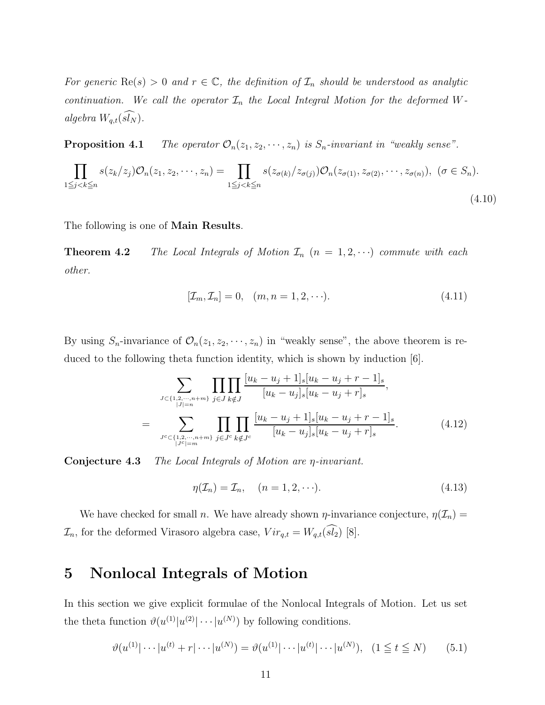For generic  $\text{Re}(s) > 0$  and  $r \in \mathbb{C}$ , the definition of  $\mathcal{I}_n$  should be understood as analytic continuation. We call the operator  $\mathcal{I}_n$  the Local Integral Motion for the deformed Walgebra  $W_{q,t}(\widehat{sl_N})$ .

**Proposition 4.1** The operator  $\mathcal{O}_n(z_1, z_2, \dots, z_n)$  is  $S_n$ -invariant in "weakly sense".

$$
\prod_{1 \leq j < k \leq n} s(z_k/z_j) \mathcal{O}_n(z_1, z_2, \cdots, z_n) = \prod_{1 \leq j < k \leq n} s(z_{\sigma(k)} / z_{\sigma(j)}) \mathcal{O}_n(z_{\sigma(1)}, z_{\sigma(2)}, \cdots, z_{\sigma(n)}), \quad (\sigma \in S_n). \tag{4.10}
$$

The following is one of Main Results.

**Theorem 4.2** The Local Integrals of Motion  $\mathcal{I}_n$   $(n = 1, 2, \cdots)$  commute with each other.

$$
[\mathcal{I}_m, \mathcal{I}_n] = 0, \quad (m, n = 1, 2, \cdots). \tag{4.11}
$$

By using  $S_n$ -invariance of  $\mathcal{O}_n(z_1, z_2, \dots, z_n)$  in "weakly sense", the above theorem is reduced to the following theta function identity, which is shown by induction [6].

$$
\sum_{J \subset \{1,2,\dots,n+m\}} \prod_{j \in J} \prod_{k \notin J} \frac{[u_k - u_j + 1]_s [u_k - u_j + r - 1]_s}{[u_k - u_j]_s [u_k - u_j + r]_s},
$$
\n
$$
= \sum_{J^c \subset \{1,2,\dots,n+m\}} \prod_{j \in J^c} \prod_{k \notin J^c} \frac{[u_k - u_j + 1]_s [u_k - u_j + r - 1]_s}{[u_k - u_j]_s [u_k - u_j + r]_s}.
$$
\n(4.12)

Conjecture 4.3 The Local Integrals of Motion are η-invariant.

$$
\eta(\mathcal{I}_n) = \mathcal{I}_n, \quad (n = 1, 2, \cdots). \tag{4.13}
$$

We have checked for small n. We have already shown  $\eta$ -invariance conjecture,  $\eta(\mathcal{I}_n)$  =  $\mathcal{I}_n$ , for the deformed Virasoro algebra case,  $Vir_{q,t} = W_{q,t}(\widehat{sl_2})$  [8].

### 5 Nonlocal Integrals of Motion

In this section we give explicit formulae of the Nonlocal Integrals of Motion. Let us set the theta function  $\vartheta(u^{(1)}|u^{(2)}| \cdots |u^{(N)})$  by following conditions.

$$
\vartheta(u^{(1)}|\cdots|u^{(t)}+r|\cdots|u^{(N)}) = \vartheta(u^{(1)}|\cdots|u^{(t)}|\cdots|u^{(N)}), \quad (1 \le t \le N) \tag{5.1}
$$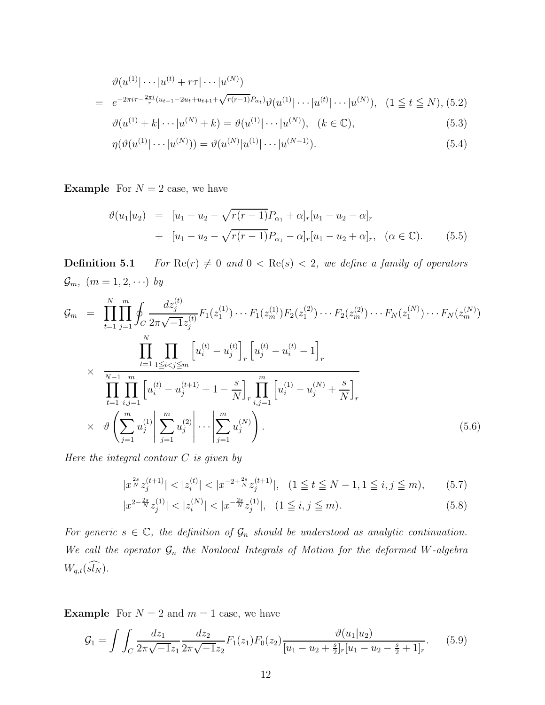$$
\vartheta(u^{(1)}|\cdots|u^{(t)} + r\tau|\cdots|u^{(N)})
$$
\n
$$
= e^{-2\pi i\tau - \frac{2\pi i}{r}(u_{t-1} - 2u_t + u_{t+1} + \sqrt{r(r-1)}P_{\alpha_t})}\vartheta(u^{(1)}|\cdots|u^{(t)}|\cdots|u^{(N)}), \quad (1 \le t \le N), (5.2)
$$

$$
\vartheta(u^{(1)} + k | \cdots | u^{(N)} + k) = \vartheta(u^{(1)} | \cdots | u^{(N)}), \quad (k \in \mathbb{C}),
$$
\n(5.3)

$$
\eta(\vartheta(u^{(1)}|\cdots|u^{(N)})) = \vartheta(u^{(N)}|u^{(1)}|\cdots|u^{(N-1)}).
$$
\n(5.4)

**Example** For  $N = 2$  case, we have

$$
\vartheta(u_1|u_2) = [u_1 - u_2 - \sqrt{r(r-1)}P_{\alpha_1} + \alpha]_r [u_1 - u_2 - \alpha]_r
$$
  
+ 
$$
[u_1 - u_2 - \sqrt{r(r-1)}P_{\alpha_1} - \alpha]_r [u_1 - u_2 + \alpha]_r, \quad (\alpha \in \mathbb{C}).
$$
 (5.5)

**Definition 5.1** For  $\text{Re}(r) \neq 0$  and  $0 < \text{Re}(s) < 2$ , we define a family of operators  $\mathcal{G}_m$ ,  $(m = 1, 2, \cdots)$  by

$$
\mathcal{G}_m = \prod_{t=1}^N \prod_{j=1}^m \oint_C \frac{dz_j^{(t)}}{2\pi \sqrt{-1}z_j^{(t)}} F_1(z_1^{(1)}) \cdots F_1(z_m^{(1)}) F_2(z_1^{(2)}) \cdots F_2(z_m^{(2)}) \cdots F_N(z_1^{(N)}) \cdots F_N(z_m^{(N)})
$$
\n
$$
\times \prod_{t=1}^N \prod_{1 \le i < j \le m} \left[ u_i^{(t)} - u_j^{(t)} \right]_r \left[ u_j^{(t)} - u_i^{(t)} - 1 \right]_r
$$
\n
$$
\times \prod_{t=1}^N \prod_{i,j=1}^m \left[ u_i^{(t)} - u_j^{(t+1)} + 1 - \frac{s}{N} \right]_r \prod_{i,j=1}^m \left[ u_i^{(1)} - u_j^{(N)} + \frac{s}{N} \right]_r
$$
\n
$$
\times \vartheta \left( \sum_{j=1}^m u_j^{(1)} \middle| \sum_{j=1}^m u_j^{(2)} \middle| \cdots \middle| \sum_{j=1}^m u_j^{(N)} \right). \tag{5.6}
$$

Here the integral contour  $C$  is given by

$$
|x^{\frac{2s}{N}}z_j^{(t+1)}| < |z_i^{(t)}| < |x^{-2+\frac{2s}{N}}z_j^{(t+1)}|, \quad (1 \le t \le N-1, 1 \le i, j \le m), \tag{5.7}
$$

$$
|x^{2-\frac{2s}{N}}z_j^{(1)}| < |z_i^{(N)}| < |x^{-\frac{2s}{N}}z_j^{(1)}|, \quad (1 \le i, j \le m). \tag{5.8}
$$

For generic  $s \in \mathbb{C}$ , the definition of  $\mathcal{G}_n$  should be understood as analytic continuation. We call the operator  $\mathcal{G}_n$  the Nonlocal Integrals of Motion for the deformed W-algebra  $W_{q,t}(\widehat{sl_N})$ .

**Example** For  $N = 2$  and  $m = 1$  case, we have

$$
\mathcal{G}_1 = \int \int_C \frac{dz_1}{2\pi\sqrt{-1}z_1} \frac{dz_2}{2\pi\sqrt{-1}z_2} F_1(z_1) F_0(z_2) \frac{\vartheta(u_1|u_2)}{[u_1 - u_2 + \frac{s}{2}]_r [u_1 - u_2 - \frac{s}{2} + 1]_r}.
$$
 (5.9)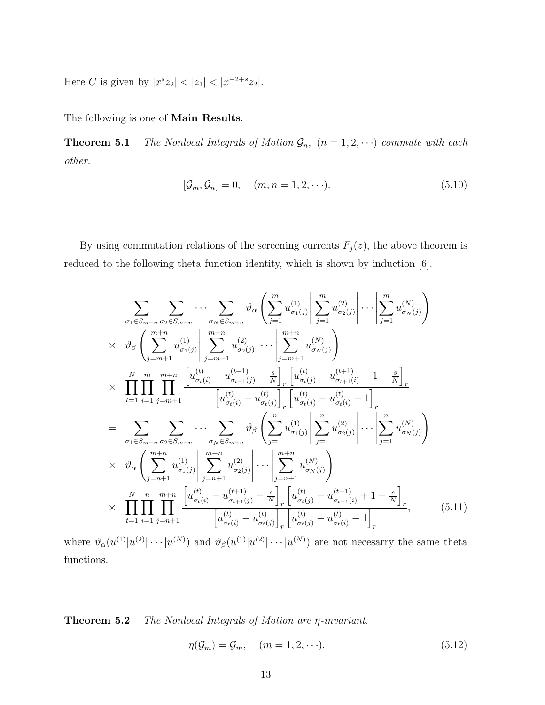Here C is given by  $|x^s z_2| < |z_1| < |x^{-2+s} z_2|$ .

The following is one of Main Results.

**Theorem 5.1** The Nonlocal Integrals of Motion  $\mathcal{G}_n$ ,  $(n = 1, 2, \cdots)$  commute with each other.

$$
[\mathcal{G}_m, \mathcal{G}_n] = 0, \quad (m, n = 1, 2, \cdots). \tag{5.10}
$$

By using commutation relations of the screening currents  $F_j(z)$ , the above theorem is reduced to the following theta function identity, which is shown by induction [6].

$$
\sum_{\sigma_{1} \in S_{m+n}} \sum_{\sigma_{2} \in S_{m+n}} \cdots \sum_{\sigma_{N} \in S_{m+n}} \vartheta_{\alpha} \left( \sum_{j=1}^{m} u_{\sigma_{1}(j)}^{(1)} \left| \sum_{j=1}^{m} u_{\sigma_{2}(j)}^{(2)} \right| \cdots \left| \sum_{j=1}^{m} u_{\sigma_{N}(j)}^{(N)} \right) \right)
$$
\n
$$
\times \vartheta_{\beta} \left( \sum_{j=m+1}^{m+n} u_{\sigma_{1}(j)}^{(1)} \left| \sum_{j=m+1}^{m+n} u_{\sigma_{2}(j)}^{(2)} \right| \cdots \left| \sum_{j=m+1}^{m+n} u_{\sigma_{N}(j)}^{(N)} \right) \right)
$$
\n
$$
\times \prod_{t=1}^{N} \prod_{i=1}^{m} \prod_{j=m+1}^{m+n} \left[ u_{\sigma_{t}(i)}^{(t)} - u_{\sigma_{t+1}(i)}^{(t+1)} \right]_{r} \left[ u_{\sigma_{t}(i)}^{(t)} - u_{\sigma_{t+1}(i)}^{(t+1)} \right]_{r} \right]
$$
\n
$$
= \sum_{\sigma_{1} \in S_{m+n}} \sum_{\sigma_{2} \in S_{m+n}} \cdots \sum_{\sigma_{N} \in S_{m+n}} \vartheta_{\beta} \left( \sum_{j=1}^{n} u_{\sigma_{1}(j)}^{(1)} \left| \sum_{j=1}^{n} u_{\sigma_{2}(j)}^{(2)} \right| \cdots \left| \sum_{j=1}^{n} u_{\sigma_{N}(j)}^{(N)} \right) \right)
$$
\n
$$
\times \vartheta_{\alpha} \left( \sum_{j=n+1}^{m+n} u_{\sigma_{1}(j)}^{(1)} \left| \sum_{j=n+1}^{m+n} u_{\sigma_{2}(j)}^{(2)} \right| \cdots \left| \sum_{j=n+1}^{m+n} u_{\sigma_{N}(j)}^{(N)} \right) \right)
$$
\n
$$
\times \prod_{t=1}^{N} \prod_{i=1}^{n} \prod_{j=n+1}^{m+n} \left[ u_{\sigma_{t}(i)}^{(t)} - u_{\sigma_{t+1}(j)}^{(t+1)} - \frac{s}{N} \right]_{r} \left[ u_{\sigma_{t}(j)}^{(t)} - u_{\
$$

where  $\vartheta_{\alpha}(u^{(1)}|u^{(2)}|\cdots|u^{(N)})$  and  $\vartheta_{\beta}(u^{(1)}|u^{(2)}|\cdots|u^{(N)})$  are not necesarry the same theta functions.

Theorem 5.2 The Nonlocal Integrals of Motion are η-invariant.

$$
\eta(\mathcal{G}_m) = \mathcal{G}_m, \quad (m = 1, 2, \cdots). \tag{5.12}
$$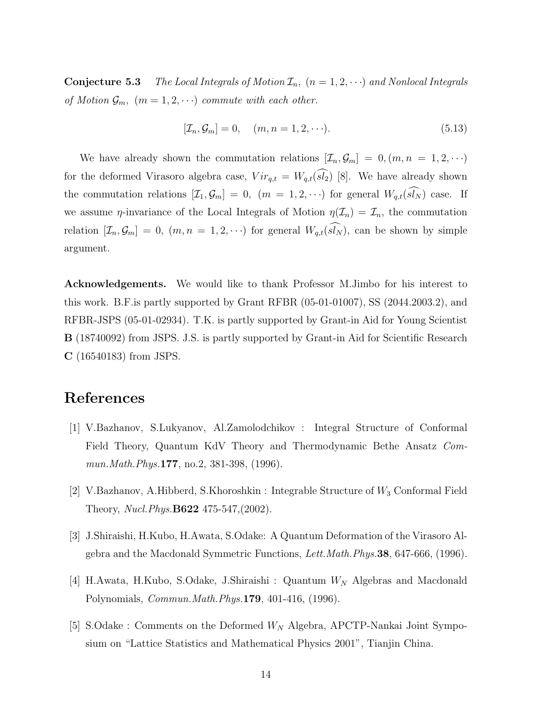**Conjecture 5.3** The Local Integrals of Motion  $\mathcal{I}_n$ ,  $(n = 1, 2, \cdots)$  and Nonlocal Integrals of Motion  $\mathcal{G}_m$ ,  $(m = 1, 2, \cdots)$  commute with each other.

$$
[\mathcal{I}_n, \mathcal{G}_m] = 0, \quad (m, n = 1, 2, \cdots). \tag{5.13}
$$

We have already shown the commutation relations  $[\mathcal{I}_n, \mathcal{G}_m] = 0, (m, n = 1, 2, \cdots)$ for the deformed Virasoro algebra case,  $Vir_{q,t} = W_{q,t}(\widehat{sl_2})$  [8]. We have already shown the commutation relations  $[\mathcal{I}_1, \mathcal{G}_m] = 0$ ,  $(m = 1, 2, \cdots)$  for general  $W_{q,t}(\widehat{sl_N})$  case. If we assume  $\eta$ -invariance of the Local Integrals of Motion  $\eta(\mathcal{I}_n) = \mathcal{I}_n$ , the commutation relation  $[\mathcal{I}_n, \mathcal{G}_m] = 0$ ,  $(m, n = 1, 2, \cdots)$  for general  $W_{q,t}(\widehat{sl_N})$ , can be shown by simple argument.

Acknowledgements. We would like to thank Professor M.Jimbo for his interest to this work. B.F.is partly supported by Grant RFBR (05-01-01007), SS (2044.2003.2), and RFBR-JSPS (05-01-02934). T.K. is partly supported by Grant-in Aid for Young Scientist B (18740092) from JSPS. J.S. is partly supported by Grant-in Aid for Scientific Research C (16540183) from JSPS.

### References

- [1] V.Bazhanov, S.Lukyanov, Al.Zamolodchikov : Integral Structure of Conformal Field Theory, Quantum KdV Theory and Thermodynamic Bethe Ansatz Commun. Math. Phys. **177**, no. 2, 381-398, (1996).
- [2] V.Bazhanov, A.Hibberd, S.Khoroshkin : Integrable Structure of  $W_3$  Conformal Field Theory, *Nucl.Phys.***B622** 475-547,(2002).
- [3] J.Shiraishi, H.Kubo, H.Awata, S.Odake: A Quantum Deformation of the Virasoro Algebra and the Macdonald Symmetric Functions, Lett.Math.Phys.38, 647-666, (1996).
- [4] H.Awata, H.Kubo, S.Odake, J.Shiraishi : Quantum  $W_N$  Algebras and Macdonald Polynomials, Commun.Math.Phys.179, 401-416, (1996).
- [5] S.Odake : Comments on the Deformed  $W_N$  Algebra, APCTP-Nankai Joint Symposium on "Lattice Statistics and Mathematical Physics 2001", Tianjin China.